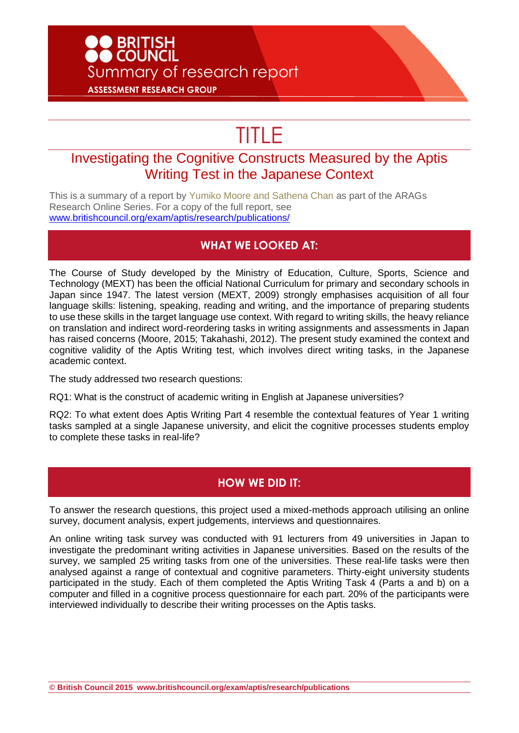# **D** BRITISH<br>• COUNCIL Summary of research report **ASSESSMENT RESEARCH GROUP**

# TITLE

## Investigating the Cognitive Constructs Measured by the Aptis Writing Test in the Japanese Context

This is a summary of a report by Yumiko Moore and Sathena Chan as part of the ARAGs Research Online Series. For a copy of the full report, see [www.britishcouncil.org/exam/aptis/research/publications/](http://www.britishcouncil.org/exam/aptis/research/publications/)

#### **WHAT WE LOOKED AT:**

The Course of Study developed by the Ministry of Education, Culture, Sports, Science and Technology (MEXT) has been the official National Curriculum for primary and secondary schools in Japan since 1947. The latest version (MEXT, 2009) strongly emphasises acquisition of all four language skills: listening, speaking, reading and writing, and the importance of preparing students to use these skills in the target language use context. With regard to writing skills, the heavy reliance on translation and indirect word-reordering tasks in writing assignments and assessments in Japan has raised concerns (Moore, 2015; Takahashi, 2012). The present study examined the context and cognitive validity of the Aptis Writing test, which involves direct writing tasks, in the Japanese academic context.

The study addressed two research questions:

RQ1: What is the construct of academic writing in English at Japanese universities?

RQ2: To what extent does Aptis Writing Part 4 resemble the contextual features of Year 1 writing tasks sampled at a single Japanese university, and elicit the cognitive processes students employ to complete these tasks in real-life?

#### **HOW WE DID IT:**

To answer the research questions, this project used a mixed-methods approach utilising an online survey, document analysis, expert judgements, interviews and questionnaires.

An online writing task survey was conducted with 91 lecturers from 49 universities in Japan to investigate the predominant writing activities in Japanese universities. Based on the results of the survey, we sampled 25 writing tasks from one of the universities. These real-life tasks were then analysed against a range of contextual and cognitive parameters. Thirty-eight university students participated in the study. Each of them completed the Aptis Writing Task 4 (Parts a and b) on a computer and filled in a cognitive process questionnaire for each part. 20% of the participants were interviewed individually to describe their writing processes on the Aptis tasks.